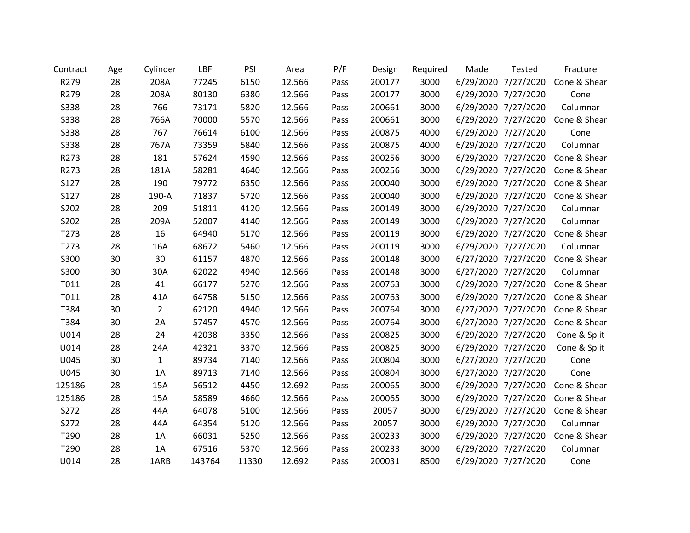| Contract         | Age | Cylinder       | LBF    | PSI   | Area   | P/F  | Design | Required | Made                | <b>Tested</b>       | Fracture     |
|------------------|-----|----------------|--------|-------|--------|------|--------|----------|---------------------|---------------------|--------------|
| R279             | 28  | 208A           | 77245  | 6150  | 12.566 | Pass | 200177 | 3000     |                     | 6/29/2020 7/27/2020 | Cone & Shear |
| R279             | 28  | 208A           | 80130  | 6380  | 12.566 | Pass | 200177 | 3000     |                     | 6/29/2020 7/27/2020 | Cone         |
| <b>S338</b>      | 28  | 766            | 73171  | 5820  | 12.566 | Pass | 200661 | 3000     |                     | 6/29/2020 7/27/2020 | Columnar     |
| <b>S338</b>      | 28  | 766A           | 70000  | 5570  | 12.566 | Pass | 200661 | 3000     |                     | 6/29/2020 7/27/2020 | Cone & Shear |
| <b>S338</b>      | 28  | 767            | 76614  | 6100  | 12.566 | Pass | 200875 | 4000     |                     | 6/29/2020 7/27/2020 | Cone         |
| <b>S338</b>      | 28  | 767A           | 73359  | 5840  | 12.566 | Pass | 200875 | 4000     |                     | 6/29/2020 7/27/2020 | Columnar     |
| R273             | 28  | 181            | 57624  | 4590  | 12.566 | Pass | 200256 | 3000     |                     | 6/29/2020 7/27/2020 | Cone & Shear |
| R273             | 28  | 181A           | 58281  | 4640  | 12.566 | Pass | 200256 | 3000     |                     | 6/29/2020 7/27/2020 | Cone & Shear |
| S127             | 28  | 190            | 79772  | 6350  | 12.566 | Pass | 200040 | 3000     |                     | 6/29/2020 7/27/2020 | Cone & Shear |
| S127             | 28  | 190-A          | 71837  | 5720  | 12.566 | Pass | 200040 | 3000     |                     | 6/29/2020 7/27/2020 | Cone & Shear |
| S202             | 28  | 209            | 51811  | 4120  | 12.566 | Pass | 200149 | 3000     |                     | 6/29/2020 7/27/2020 | Columnar     |
| S202             | 28  | 209A           | 52007  | 4140  | 12.566 | Pass | 200149 | 3000     |                     | 6/29/2020 7/27/2020 | Columnar     |
| T273             | 28  | 16             | 64940  | 5170  | 12.566 | Pass | 200119 | 3000     |                     | 6/29/2020 7/27/2020 | Cone & Shear |
| T <sub>273</sub> | 28  | 16A            | 68672  | 5460  | 12.566 | Pass | 200119 | 3000     |                     | 6/29/2020 7/27/2020 | Columnar     |
| S300             | 30  | 30             | 61157  | 4870  | 12.566 | Pass | 200148 | 3000     |                     | 6/27/2020 7/27/2020 | Cone & Shear |
| S300             | 30  | 30A            | 62022  | 4940  | 12.566 | Pass | 200148 | 3000     |                     | 6/27/2020 7/27/2020 | Columnar     |
| T011             | 28  | 41             | 66177  | 5270  | 12.566 | Pass | 200763 | 3000     |                     | 6/29/2020 7/27/2020 | Cone & Shear |
| T011             | 28  | 41A            | 64758  | 5150  | 12.566 | Pass | 200763 | 3000     |                     | 6/29/2020 7/27/2020 | Cone & Shear |
| T384             | 30  | $\overline{2}$ | 62120  | 4940  | 12.566 | Pass | 200764 | 3000     |                     | 6/27/2020 7/27/2020 | Cone & Shear |
| T384             | 30  | 2A             | 57457  | 4570  | 12.566 | Pass | 200764 | 3000     |                     | 6/27/2020 7/27/2020 | Cone & Shear |
| U014             | 28  | 24             | 42038  | 3350  | 12.566 | Pass | 200825 | 3000     |                     | 6/29/2020 7/27/2020 | Cone & Split |
| U014             | 28  | 24A            | 42321  | 3370  | 12.566 | Pass | 200825 | 3000     |                     | 6/29/2020 7/27/2020 | Cone & Split |
| U045             | 30  | $\mathbf{1}$   | 89734  | 7140  | 12.566 | Pass | 200804 | 3000     |                     | 6/27/2020 7/27/2020 | Cone         |
| U045             | 30  | 1A             | 89713  | 7140  | 12.566 | Pass | 200804 | 3000     |                     | 6/27/2020 7/27/2020 | Cone         |
| 125186           | 28  | 15A            | 56512  | 4450  | 12.692 | Pass | 200065 | 3000     |                     | 6/29/2020 7/27/2020 | Cone & Shear |
| 125186           | 28  | 15A            | 58589  | 4660  | 12.566 | Pass | 200065 | 3000     |                     | 6/29/2020 7/27/2020 | Cone & Shear |
| S272             | 28  | 44A            | 64078  | 5100  | 12.566 | Pass | 20057  | 3000     |                     | 6/29/2020 7/27/2020 | Cone & Shear |
| S272             | 28  | 44A            | 64354  | 5120  | 12.566 | Pass | 20057  | 3000     |                     | 6/29/2020 7/27/2020 | Columnar     |
| T290             | 28  | 1A             | 66031  | 5250  | 12.566 | Pass | 200233 | 3000     |                     | 6/29/2020 7/27/2020 | Cone & Shear |
| T290             | 28  | 1A             | 67516  | 5370  | 12.566 | Pass | 200233 | 3000     | 6/29/2020 7/27/2020 |                     | Columnar     |
| U014             | 28  | 1ARB           | 143764 | 11330 | 12.692 | Pass | 200031 | 8500     | 6/29/2020 7/27/2020 |                     | Cone         |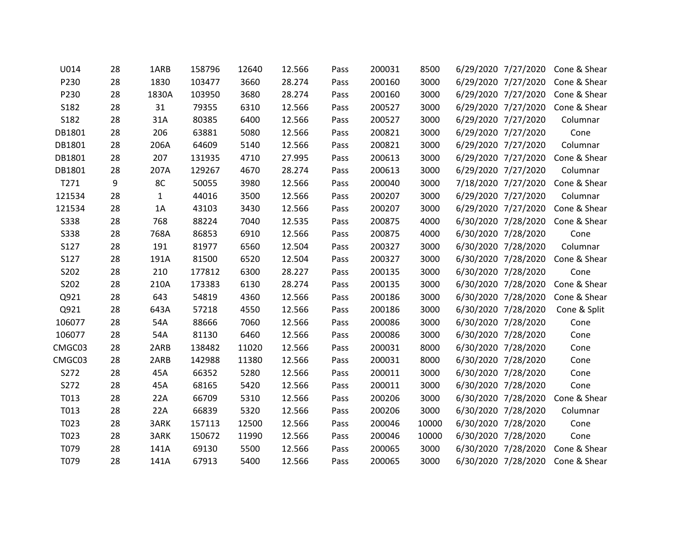| U014        | 28 | 1ARB        | 158796 | 12640 | 12.566 | Pass | 200031 | 8500  |                     | 6/29/2020 7/27/2020 Cone & Shear |
|-------------|----|-------------|--------|-------|--------|------|--------|-------|---------------------|----------------------------------|
| P230        | 28 | 1830        | 103477 | 3660  | 28.274 | Pass | 200160 | 3000  |                     | 6/29/2020 7/27/2020 Cone & Shear |
| P230        | 28 | 1830A       | 103950 | 3680  | 28.274 | Pass | 200160 | 3000  | 6/29/2020 7/27/2020 | Cone & Shear                     |
| S182        | 28 | 31          | 79355  | 6310  | 12.566 | Pass | 200527 | 3000  | 6/29/2020 7/27/2020 | Cone & Shear                     |
| S182        | 28 | 31A         | 80385  | 6400  | 12.566 | Pass | 200527 | 3000  | 6/29/2020 7/27/2020 | Columnar                         |
| DB1801      | 28 | 206         | 63881  | 5080  | 12.566 | Pass | 200821 | 3000  | 6/29/2020 7/27/2020 | Cone                             |
| DB1801      | 28 | 206A        | 64609  | 5140  | 12.566 | Pass | 200821 | 3000  | 6/29/2020 7/27/2020 | Columnar                         |
| DB1801      | 28 | 207         | 131935 | 4710  | 27.995 | Pass | 200613 | 3000  | 6/29/2020 7/27/2020 | Cone & Shear                     |
| DB1801      | 28 | 207A        | 129267 | 4670  | 28.274 | Pass | 200613 | 3000  | 6/29/2020 7/27/2020 | Columnar                         |
| T271        | 9  | 8C          | 50055  | 3980  | 12.566 | Pass | 200040 | 3000  | 7/18/2020 7/27/2020 | Cone & Shear                     |
| 121534      | 28 | $\mathbf 1$ | 44016  | 3500  | 12.566 | Pass | 200207 | 3000  | 6/29/2020 7/27/2020 | Columnar                         |
| 121534      | 28 | 1A          | 43103  | 3430  | 12.566 | Pass | 200207 | 3000  | 6/29/2020 7/27/2020 | Cone & Shear                     |
| <b>S338</b> | 28 | 768         | 88224  | 7040  | 12.535 | Pass | 200875 | 4000  | 6/30/2020 7/28/2020 | Cone & Shear                     |
| <b>S338</b> | 28 | 768A        | 86853  | 6910  | 12.566 | Pass | 200875 | 4000  | 6/30/2020 7/28/2020 | Cone                             |
| S127        | 28 | 191         | 81977  | 6560  | 12.504 | Pass | 200327 | 3000  | 6/30/2020 7/28/2020 | Columnar                         |
| S127        | 28 | 191A        | 81500  | 6520  | 12.504 | Pass | 200327 | 3000  | 6/30/2020 7/28/2020 | Cone & Shear                     |
| S202        | 28 | 210         | 177812 | 6300  | 28.227 | Pass | 200135 | 3000  | 6/30/2020 7/28/2020 | Cone                             |
| S202        | 28 | 210A        | 173383 | 6130  | 28.274 | Pass | 200135 | 3000  | 6/30/2020 7/28/2020 | Cone & Shear                     |
| Q921        | 28 | 643         | 54819  | 4360  | 12.566 | Pass | 200186 | 3000  | 6/30/2020 7/28/2020 | Cone & Shear                     |
| Q921        | 28 | 643A        | 57218  | 4550  | 12.566 | Pass | 200186 | 3000  | 6/30/2020 7/28/2020 | Cone & Split                     |
| 106077      | 28 | 54A         | 88666  | 7060  | 12.566 | Pass | 200086 | 3000  | 6/30/2020 7/28/2020 | Cone                             |
| 106077      | 28 | 54A         | 81130  | 6460  | 12.566 | Pass | 200086 | 3000  | 6/30/2020 7/28/2020 | Cone                             |
| CMGC03      | 28 | 2ARB        | 138482 | 11020 | 12.566 | Pass | 200031 | 8000  | 6/30/2020 7/28/2020 | Cone                             |
| CMGC03      | 28 | 2ARB        | 142988 | 11380 | 12.566 | Pass | 200031 | 8000  | 6/30/2020 7/28/2020 | Cone                             |
| S272        | 28 | 45A         | 66352  | 5280  | 12.566 | Pass | 200011 | 3000  | 6/30/2020 7/28/2020 | Cone                             |
| S272        | 28 | 45A         | 68165  | 5420  | 12.566 | Pass | 200011 | 3000  | 6/30/2020 7/28/2020 | Cone                             |
| T013        | 28 | 22A         | 66709  | 5310  | 12.566 | Pass | 200206 | 3000  | 6/30/2020 7/28/2020 | Cone & Shear                     |
| T013        | 28 | 22A         | 66839  | 5320  | 12.566 | Pass | 200206 | 3000  | 6/30/2020 7/28/2020 | Columnar                         |
| T023        | 28 | 3ARK        | 157113 | 12500 | 12.566 | Pass | 200046 | 10000 | 6/30/2020 7/28/2020 | Cone                             |
| T023        | 28 | 3ARK        | 150672 | 11990 | 12.566 | Pass | 200046 | 10000 | 6/30/2020 7/28/2020 | Cone                             |
| T079        | 28 | 141A        | 69130  | 5500  | 12.566 | Pass | 200065 | 3000  | 6/30/2020 7/28/2020 | Cone & Shear                     |
| T079        | 28 | 141A        | 67913  | 5400  | 12.566 | Pass | 200065 | 3000  |                     | 6/30/2020 7/28/2020 Cone & Shear |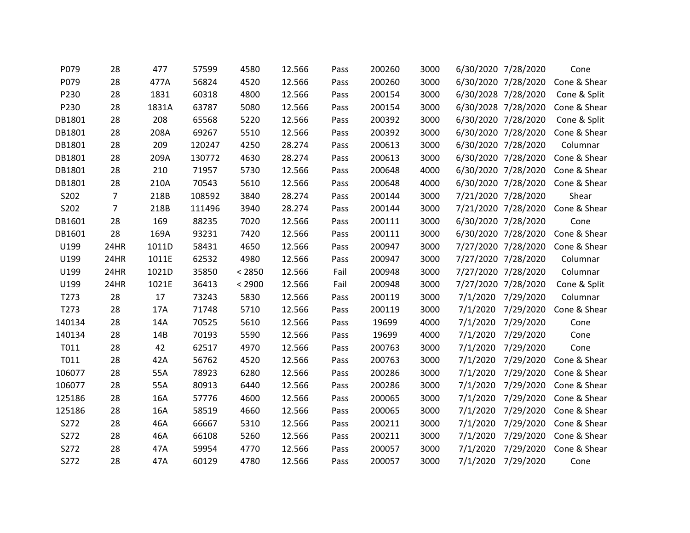| P079   | 28             | 477   | 57599  | 4580   | 12.566 | Pass | 200260 | 3000 |          | 6/30/2020 7/28/2020 | Cone         |
|--------|----------------|-------|--------|--------|--------|------|--------|------|----------|---------------------|--------------|
| P079   | 28             | 477A  | 56824  | 4520   | 12.566 | Pass | 200260 | 3000 |          | 6/30/2020 7/28/2020 | Cone & Shear |
| P230   | 28             | 1831  | 60318  | 4800   | 12.566 | Pass | 200154 | 3000 |          | 6/30/2028 7/28/2020 | Cone & Split |
| P230   | 28             | 1831A | 63787  | 5080   | 12.566 | Pass | 200154 | 3000 |          | 6/30/2028 7/28/2020 | Cone & Shear |
| DB1801 | 28             | 208   | 65568  | 5220   | 12.566 | Pass | 200392 | 3000 |          | 6/30/2020 7/28/2020 | Cone & Split |
| DB1801 | 28             | 208A  | 69267  | 5510   | 12.566 | Pass | 200392 | 3000 |          | 6/30/2020 7/28/2020 | Cone & Shear |
| DB1801 | 28             | 209   | 120247 | 4250   | 28.274 | Pass | 200613 | 3000 |          | 6/30/2020 7/28/2020 | Columnar     |
| DB1801 | 28             | 209A  | 130772 | 4630   | 28.274 | Pass | 200613 | 3000 |          | 6/30/2020 7/28/2020 | Cone & Shear |
| DB1801 | 28             | 210   | 71957  | 5730   | 12.566 | Pass | 200648 | 4000 |          | 6/30/2020 7/28/2020 | Cone & Shear |
| DB1801 | 28             | 210A  | 70543  | 5610   | 12.566 | Pass | 200648 | 4000 |          | 6/30/2020 7/28/2020 | Cone & Shear |
| S202   | $\overline{7}$ | 218B  | 108592 | 3840   | 28.274 | Pass | 200144 | 3000 |          | 7/21/2020 7/28/2020 | Shear        |
| S202   | $\overline{7}$ | 218B  | 111496 | 3940   | 28.274 | Pass | 200144 | 3000 |          | 7/21/2020 7/28/2020 | Cone & Shear |
| DB1601 | 28             | 169   | 88235  | 7020   | 12.566 | Pass | 200111 | 3000 |          | 6/30/2020 7/28/2020 | Cone         |
| DB1601 | 28             | 169A  | 93231  | 7420   | 12.566 | Pass | 200111 | 3000 |          | 6/30/2020 7/28/2020 | Cone & Shear |
| U199   | 24HR           | 1011D | 58431  | 4650   | 12.566 | Pass | 200947 | 3000 |          | 7/27/2020 7/28/2020 | Cone & Shear |
| U199   | 24HR           | 1011E | 62532  | 4980   | 12.566 | Pass | 200947 | 3000 |          | 7/27/2020 7/28/2020 | Columnar     |
| U199   | 24HR           | 1021D | 35850  | < 2850 | 12.566 | Fail | 200948 | 3000 |          | 7/27/2020 7/28/2020 | Columnar     |
| U199   | 24HR           | 1021E | 36413  | < 2900 | 12.566 | Fail | 200948 | 3000 |          | 7/27/2020 7/28/2020 | Cone & Split |
| T273   | 28             | 17    | 73243  | 5830   | 12.566 | Pass | 200119 | 3000 | 7/1/2020 | 7/29/2020           | Columnar     |
| T273   | 28             | 17A   | 71748  | 5710   | 12.566 | Pass | 200119 | 3000 | 7/1/2020 | 7/29/2020           | Cone & Shear |
| 140134 | 28             | 14A   | 70525  | 5610   | 12.566 | Pass | 19699  | 4000 | 7/1/2020 | 7/29/2020           | Cone         |
| 140134 | 28             | 14B   | 70193  | 5590   | 12.566 | Pass | 19699  | 4000 | 7/1/2020 | 7/29/2020           | Cone         |
| T011   | 28             | 42    | 62517  | 4970   | 12.566 | Pass | 200763 | 3000 | 7/1/2020 | 7/29/2020           | Cone         |
| T011   | 28             | 42A   | 56762  | 4520   | 12.566 | Pass | 200763 | 3000 | 7/1/2020 | 7/29/2020           | Cone & Shear |
| 106077 | 28             | 55A   | 78923  | 6280   | 12.566 | Pass | 200286 | 3000 | 7/1/2020 | 7/29/2020           | Cone & Shear |
| 106077 | 28             | 55A   | 80913  | 6440   | 12.566 | Pass | 200286 | 3000 | 7/1/2020 | 7/29/2020           | Cone & Shear |
| 125186 | 28             | 16A   | 57776  | 4600   | 12.566 | Pass | 200065 | 3000 | 7/1/2020 | 7/29/2020           | Cone & Shear |
| 125186 | 28             | 16A   | 58519  | 4660   | 12.566 | Pass | 200065 | 3000 | 7/1/2020 | 7/29/2020           | Cone & Shear |
| S272   | 28             | 46A   | 66667  | 5310   | 12.566 | Pass | 200211 | 3000 | 7/1/2020 | 7/29/2020           | Cone & Shear |
| S272   | 28             | 46A   | 66108  | 5260   | 12.566 | Pass | 200211 | 3000 | 7/1/2020 | 7/29/2020           | Cone & Shear |
| S272   | 28             | 47A   | 59954  | 4770   | 12.566 | Pass | 200057 | 3000 | 7/1/2020 | 7/29/2020           | Cone & Shear |
| S272   | 28             | 47A   | 60129  | 4780   | 12.566 | Pass | 200057 | 3000 | 7/1/2020 | 7/29/2020           | Cone         |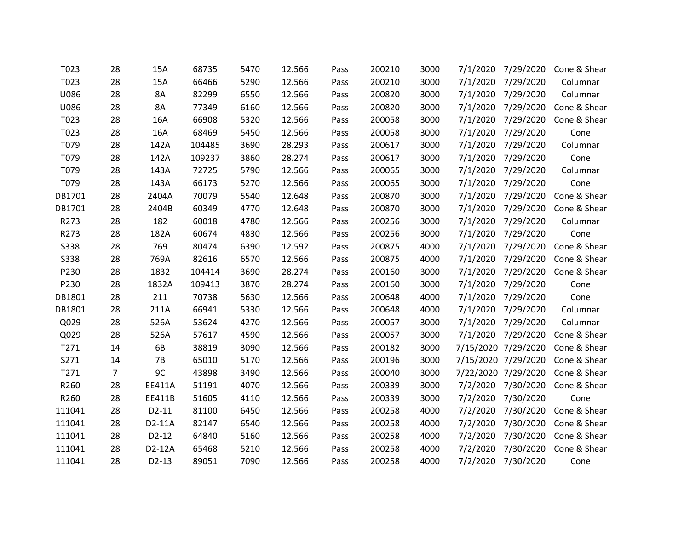| T023        | 28 | 15A       | 68735  | 5470 | 12.566 | Pass | 200210 | 3000 | 7/1/2020 | 7/29/2020           | Cone & Shear |
|-------------|----|-----------|--------|------|--------|------|--------|------|----------|---------------------|--------------|
| T023        | 28 | 15A       | 66466  | 5290 | 12.566 | Pass | 200210 | 3000 | 7/1/2020 | 7/29/2020           | Columnar     |
| U086        | 28 | 8A        | 82299  | 6550 | 12.566 | Pass | 200820 | 3000 |          | 7/1/2020 7/29/2020  | Columnar     |
| U086        | 28 | 8A        | 77349  | 6160 | 12.566 | Pass | 200820 | 3000 | 7/1/2020 | 7/29/2020           | Cone & Shear |
| T023        | 28 | 16A       | 66908  | 5320 | 12.566 | Pass | 200058 | 3000 | 7/1/2020 | 7/29/2020           | Cone & Shear |
| T023        | 28 | 16A       | 68469  | 5450 | 12.566 | Pass | 200058 | 3000 | 7/1/2020 | 7/29/2020           | Cone         |
| T079        | 28 | 142A      | 104485 | 3690 | 28.293 | Pass | 200617 | 3000 | 7/1/2020 | 7/29/2020           | Columnar     |
| T079        | 28 | 142A      | 109237 | 3860 | 28.274 | Pass | 200617 | 3000 | 7/1/2020 | 7/29/2020           | Cone         |
| T079        | 28 | 143A      | 72725  | 5790 | 12.566 | Pass | 200065 | 3000 |          | 7/1/2020 7/29/2020  | Columnar     |
| T079        | 28 | 143A      | 66173  | 5270 | 12.566 | Pass | 200065 | 3000 | 7/1/2020 | 7/29/2020           | Cone         |
| DB1701      | 28 | 2404A     | 70079  | 5540 | 12.648 | Pass | 200870 | 3000 | 7/1/2020 | 7/29/2020           | Cone & Shear |
| DB1701      | 28 | 2404B     | 60349  | 4770 | 12.648 | Pass | 200870 | 3000 | 7/1/2020 | 7/29/2020           | Cone & Shear |
| R273        | 28 | 182       | 60018  | 4780 | 12.566 | Pass | 200256 | 3000 | 7/1/2020 | 7/29/2020           | Columnar     |
| R273        | 28 | 182A      | 60674  | 4830 | 12.566 | Pass | 200256 | 3000 | 7/1/2020 | 7/29/2020           | Cone         |
| <b>S338</b> | 28 | 769       | 80474  | 6390 | 12.592 | Pass | 200875 | 4000 | 7/1/2020 | 7/29/2020           | Cone & Shear |
| <b>S338</b> | 28 | 769A      | 82616  | 6570 | 12.566 | Pass | 200875 | 4000 | 7/1/2020 | 7/29/2020           | Cone & Shear |
| P230        | 28 | 1832      | 104414 | 3690 | 28.274 | Pass | 200160 | 3000 | 7/1/2020 | 7/29/2020           | Cone & Shear |
| P230        | 28 | 1832A     | 109413 | 3870 | 28.274 | Pass | 200160 | 3000 | 7/1/2020 | 7/29/2020           | Cone         |
| DB1801      | 28 | 211       | 70738  | 5630 | 12.566 | Pass | 200648 | 4000 | 7/1/2020 | 7/29/2020           | Cone         |
| DB1801      | 28 | 211A      | 66941  | 5330 | 12.566 | Pass | 200648 | 4000 |          | 7/1/2020 7/29/2020  | Columnar     |
| Q029        | 28 | 526A      | 53624  | 4270 | 12.566 | Pass | 200057 | 3000 | 7/1/2020 | 7/29/2020           | Columnar     |
| Q029        | 28 | 526A      | 57617  | 4590 | 12.566 | Pass | 200057 | 3000 | 7/1/2020 | 7/29/2020           | Cone & Shear |
| T271        | 14 | 6B        | 38819  | 3090 | 12.566 | Pass | 200182 | 3000 |          | 7/15/2020 7/29/2020 | Cone & Shear |
| S271        | 14 | <b>7B</b> | 65010  | 5170 | 12.566 | Pass | 200196 | 3000 |          | 7/15/2020 7/29/2020 | Cone & Shear |
| T271        | 7  | 9C        | 43898  | 3490 | 12.566 | Pass | 200040 | 3000 |          | 7/22/2020 7/29/2020 | Cone & Shear |
| R260        | 28 | EE411A    | 51191  | 4070 | 12.566 | Pass | 200339 | 3000 |          | 7/2/2020 7/30/2020  | Cone & Shear |
| R260        | 28 | EE411B    | 51605  | 4110 | 12.566 | Pass | 200339 | 3000 | 7/2/2020 | 7/30/2020           | Cone         |
| 111041      | 28 | $D2-11$   | 81100  | 6450 | 12.566 | Pass | 200258 | 4000 | 7/2/2020 | 7/30/2020           | Cone & Shear |
| 111041      | 28 | D2-11A    | 82147  | 6540 | 12.566 | Pass | 200258 | 4000 | 7/2/2020 | 7/30/2020           | Cone & Shear |
| 111041      | 28 | $D2-12$   | 64840  | 5160 | 12.566 | Pass | 200258 | 4000 | 7/2/2020 | 7/30/2020           | Cone & Shear |
| 111041      | 28 | D2-12A    | 65468  | 5210 | 12.566 | Pass | 200258 | 4000 | 7/2/2020 | 7/30/2020           | Cone & Shear |
| 111041      | 28 | $D2-13$   | 89051  | 7090 | 12.566 | Pass | 200258 | 4000 | 7/2/2020 | 7/30/2020           | Cone         |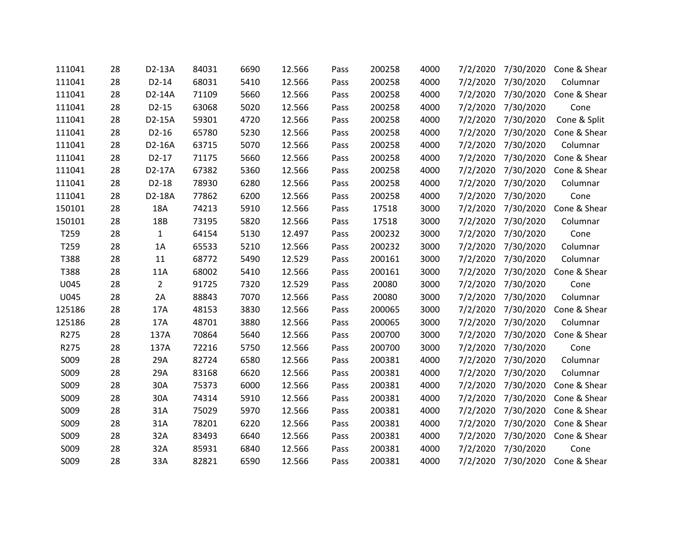| 111041 | 28 | D2-13A         | 84031 | 6690 | 12.566 | Pass | 200258 | 4000 | 7/2/2020 | 7/30/2020 | Cone & Shear |
|--------|----|----------------|-------|------|--------|------|--------|------|----------|-----------|--------------|
| 111041 | 28 | $D2-14$        | 68031 | 5410 | 12.566 | Pass | 200258 | 4000 | 7/2/2020 | 7/30/2020 | Columnar     |
| 111041 | 28 | D2-14A         | 71109 | 5660 | 12.566 | Pass | 200258 | 4000 | 7/2/2020 | 7/30/2020 | Cone & Shear |
| 111041 | 28 | $D2-15$        | 63068 | 5020 | 12.566 | Pass | 200258 | 4000 | 7/2/2020 | 7/30/2020 | Cone         |
| 111041 | 28 | D2-15A         | 59301 | 4720 | 12.566 | Pass | 200258 | 4000 | 7/2/2020 | 7/30/2020 | Cone & Split |
| 111041 | 28 | $D2-16$        | 65780 | 5230 | 12.566 | Pass | 200258 | 4000 | 7/2/2020 | 7/30/2020 | Cone & Shear |
| 111041 | 28 | D2-16A         | 63715 | 5070 | 12.566 | Pass | 200258 | 4000 | 7/2/2020 | 7/30/2020 | Columnar     |
| 111041 | 28 | $D2-17$        | 71175 | 5660 | 12.566 | Pass | 200258 | 4000 | 7/2/2020 | 7/30/2020 | Cone & Shear |
| 111041 | 28 | D2-17A         | 67382 | 5360 | 12.566 | Pass | 200258 | 4000 | 7/2/2020 | 7/30/2020 | Cone & Shear |
| 111041 | 28 | $D2-18$        | 78930 | 6280 | 12.566 | Pass | 200258 | 4000 | 7/2/2020 | 7/30/2020 | Columnar     |
| 111041 | 28 | D2-18A         | 77862 | 6200 | 12.566 | Pass | 200258 | 4000 | 7/2/2020 | 7/30/2020 | Cone         |
| 150101 | 28 | <b>18A</b>     | 74213 | 5910 | 12.566 | Pass | 17518  | 3000 | 7/2/2020 | 7/30/2020 | Cone & Shear |
| 150101 | 28 | 18B            | 73195 | 5820 | 12.566 | Pass | 17518  | 3000 | 7/2/2020 | 7/30/2020 | Columnar     |
| T259   | 28 | $\mathbf{1}$   | 64154 | 5130 | 12.497 | Pass | 200232 | 3000 | 7/2/2020 | 7/30/2020 | Cone         |
| T259   | 28 | 1A             | 65533 | 5210 | 12.566 | Pass | 200232 | 3000 | 7/2/2020 | 7/30/2020 | Columnar     |
| T388   | 28 | 11             | 68772 | 5490 | 12.529 | Pass | 200161 | 3000 | 7/2/2020 | 7/30/2020 | Columnar     |
| T388   | 28 | 11A            | 68002 | 5410 | 12.566 | Pass | 200161 | 3000 | 7/2/2020 | 7/30/2020 | Cone & Shear |
| U045   | 28 | $\overline{2}$ | 91725 | 7320 | 12.529 | Pass | 20080  | 3000 | 7/2/2020 | 7/30/2020 | Cone         |
| U045   | 28 | 2A             | 88843 | 7070 | 12.566 | Pass | 20080  | 3000 | 7/2/2020 | 7/30/2020 | Columnar     |
| 125186 | 28 | 17A            | 48153 | 3830 | 12.566 | Pass | 200065 | 3000 | 7/2/2020 | 7/30/2020 | Cone & Shear |
| 125186 | 28 | 17A            | 48701 | 3880 | 12.566 | Pass | 200065 | 3000 | 7/2/2020 | 7/30/2020 | Columnar     |
| R275   | 28 | 137A           | 70864 | 5640 | 12.566 | Pass | 200700 | 3000 | 7/2/2020 | 7/30/2020 | Cone & Shear |
| R275   | 28 | 137A           | 72216 | 5750 | 12.566 | Pass | 200700 | 3000 | 7/2/2020 | 7/30/2020 | Cone         |
| S009   | 28 | 29A            | 82724 | 6580 | 12.566 | Pass | 200381 | 4000 | 7/2/2020 | 7/30/2020 | Columnar     |
| S009   | 28 | 29A            | 83168 | 6620 | 12.566 | Pass | 200381 | 4000 | 7/2/2020 | 7/30/2020 | Columnar     |
| S009   | 28 | 30A            | 75373 | 6000 | 12.566 | Pass | 200381 | 4000 | 7/2/2020 | 7/30/2020 | Cone & Shear |
| S009   | 28 | 30A            | 74314 | 5910 | 12.566 | Pass | 200381 | 4000 | 7/2/2020 | 7/30/2020 | Cone & Shear |
| S009   | 28 | 31A            | 75029 | 5970 | 12.566 | Pass | 200381 | 4000 | 7/2/2020 | 7/30/2020 | Cone & Shear |
| S009   | 28 | 31A            | 78201 | 6220 | 12.566 | Pass | 200381 | 4000 | 7/2/2020 | 7/30/2020 | Cone & Shear |
| S009   | 28 | 32A            | 83493 | 6640 | 12.566 | Pass | 200381 | 4000 | 7/2/2020 | 7/30/2020 | Cone & Shear |
| S009   | 28 | 32A            | 85931 | 6840 | 12.566 | Pass | 200381 | 4000 | 7/2/2020 | 7/30/2020 | Cone         |
| S009   | 28 | 33A            | 82821 | 6590 | 12.566 | Pass | 200381 | 4000 | 7/2/2020 | 7/30/2020 | Cone & Shear |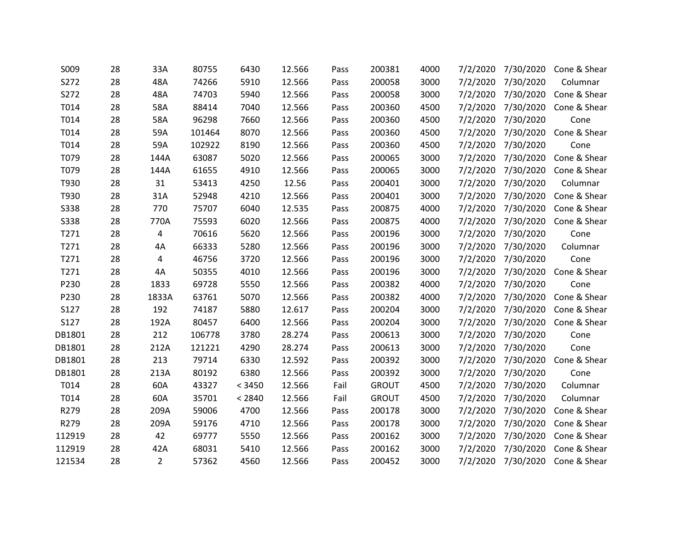| S009        | 28 | 33A            | 80755  | 6430   | 12.566 | Pass | 200381       | 4000 | 7/2/2020 | 7/30/2020 | Cone & Shear |
|-------------|----|----------------|--------|--------|--------|------|--------------|------|----------|-----------|--------------|
| S272        | 28 | 48A            | 74266  | 5910   | 12.566 | Pass | 200058       | 3000 | 7/2/2020 | 7/30/2020 | Columnar     |
| S272        | 28 | 48A            | 74703  | 5940   | 12.566 | Pass | 200058       | 3000 | 7/2/2020 | 7/30/2020 | Cone & Shear |
| T014        | 28 | 58A            | 88414  | 7040   | 12.566 | Pass | 200360       | 4500 | 7/2/2020 | 7/30/2020 | Cone & Shear |
| T014        | 28 | 58A            | 96298  | 7660   | 12.566 | Pass | 200360       | 4500 | 7/2/2020 | 7/30/2020 | Cone         |
| T014        | 28 | 59A            | 101464 | 8070   | 12.566 | Pass | 200360       | 4500 | 7/2/2020 | 7/30/2020 | Cone & Shear |
| T014        | 28 | 59A            | 102922 | 8190   | 12.566 | Pass | 200360       | 4500 | 7/2/2020 | 7/30/2020 | Cone         |
| T079        | 28 | 144A           | 63087  | 5020   | 12.566 | Pass | 200065       | 3000 | 7/2/2020 | 7/30/2020 | Cone & Shear |
| T079        | 28 | 144A           | 61655  | 4910   | 12.566 | Pass | 200065       | 3000 | 7/2/2020 | 7/30/2020 | Cone & Shear |
| T930        | 28 | 31             | 53413  | 4250   | 12.56  | Pass | 200401       | 3000 | 7/2/2020 | 7/30/2020 | Columnar     |
| T930        | 28 | 31A            | 52948  | 4210   | 12.566 | Pass | 200401       | 3000 | 7/2/2020 | 7/30/2020 | Cone & Shear |
| <b>S338</b> | 28 | 770            | 75707  | 6040   | 12.535 | Pass | 200875       | 4000 | 7/2/2020 | 7/30/2020 | Cone & Shear |
| <b>S338</b> | 28 | 770A           | 75593  | 6020   | 12.566 | Pass | 200875       | 4000 | 7/2/2020 | 7/30/2020 | Cone & Shear |
| T271        | 28 | 4              | 70616  | 5620   | 12.566 | Pass | 200196       | 3000 | 7/2/2020 | 7/30/2020 | Cone         |
| T271        | 28 | 4A             | 66333  | 5280   | 12.566 | Pass | 200196       | 3000 | 7/2/2020 | 7/30/2020 | Columnar     |
| T271        | 28 | 4              | 46756  | 3720   | 12.566 | Pass | 200196       | 3000 | 7/2/2020 | 7/30/2020 | Cone         |
| T271        | 28 | 4A             | 50355  | 4010   | 12.566 | Pass | 200196       | 3000 | 7/2/2020 | 7/30/2020 | Cone & Shear |
| P230        | 28 | 1833           | 69728  | 5550   | 12.566 | Pass | 200382       | 4000 | 7/2/2020 | 7/30/2020 | Cone         |
| P230        | 28 | 1833A          | 63761  | 5070   | 12.566 | Pass | 200382       | 4000 | 7/2/2020 | 7/30/2020 | Cone & Shear |
| S127        | 28 | 192            | 74187  | 5880   | 12.617 | Pass | 200204       | 3000 | 7/2/2020 | 7/30/2020 | Cone & Shear |
| S127        | 28 | 192A           | 80457  | 6400   | 12.566 | Pass | 200204       | 3000 | 7/2/2020 | 7/30/2020 | Cone & Shear |
| DB1801      | 28 | 212            | 106778 | 3780   | 28.274 | Pass | 200613       | 3000 | 7/2/2020 | 7/30/2020 | Cone         |
| DB1801      | 28 | 212A           | 121221 | 4290   | 28.274 | Pass | 200613       | 3000 | 7/2/2020 | 7/30/2020 | Cone         |
| DB1801      | 28 | 213            | 79714  | 6330   | 12.592 | Pass | 200392       | 3000 | 7/2/2020 | 7/30/2020 | Cone & Shear |
| DB1801      | 28 | 213A           | 80192  | 6380   | 12.566 | Pass | 200392       | 3000 | 7/2/2020 | 7/30/2020 | Cone         |
| T014        | 28 | 60A            | 43327  | < 3450 | 12.566 | Fail | <b>GROUT</b> | 4500 | 7/2/2020 | 7/30/2020 | Columnar     |
| T014        | 28 | 60A            | 35701  | < 2840 | 12.566 | Fail | <b>GROUT</b> | 4500 | 7/2/2020 | 7/30/2020 | Columnar     |
| R279        | 28 | 209A           | 59006  | 4700   | 12.566 | Pass | 200178       | 3000 | 7/2/2020 | 7/30/2020 | Cone & Shear |
| R279        | 28 | 209A           | 59176  | 4710   | 12.566 | Pass | 200178       | 3000 | 7/2/2020 | 7/30/2020 | Cone & Shear |
| 112919      | 28 | 42             | 69777  | 5550   | 12.566 | Pass | 200162       | 3000 | 7/2/2020 | 7/30/2020 | Cone & Shear |
| 112919      | 28 | 42A            | 68031  | 5410   | 12.566 | Pass | 200162       | 3000 | 7/2/2020 | 7/30/2020 | Cone & Shear |
| 121534      | 28 | $\overline{2}$ | 57362  | 4560   | 12.566 | Pass | 200452       | 3000 | 7/2/2020 | 7/30/2020 | Cone & Shear |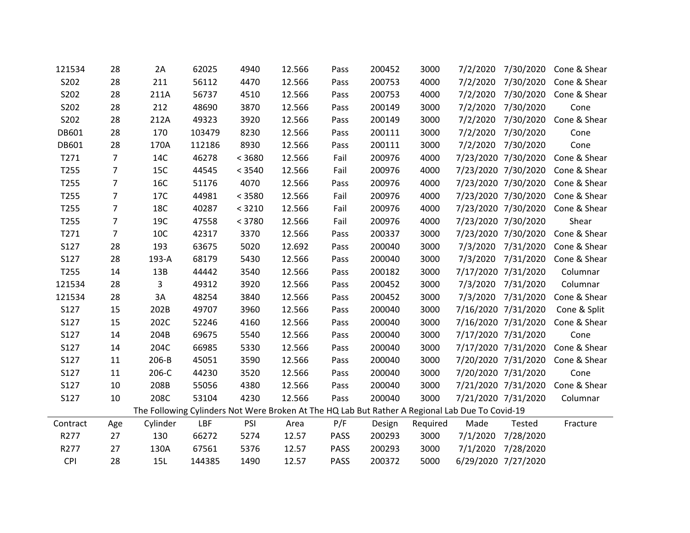| 121534           | 28             | 2A                                                                                              | 62025  | 4940   | 12.566 | Pass        | 200452 | 3000     |          | 7/2/2020 7/30/2020  | Cone & Shear                     |
|------------------|----------------|-------------------------------------------------------------------------------------------------|--------|--------|--------|-------------|--------|----------|----------|---------------------|----------------------------------|
| S202             | 28             | 211                                                                                             | 56112  | 4470   | 12.566 | Pass        | 200753 | 4000     | 7/2/2020 | 7/30/2020           | Cone & Shear                     |
| S202             | 28             | 211A                                                                                            | 56737  | 4510   | 12.566 | Pass        | 200753 | 4000     |          | 7/2/2020 7/30/2020  | Cone & Shear                     |
| S202             | 28             | 212                                                                                             | 48690  | 3870   | 12.566 | Pass        | 200149 | 3000     | 7/2/2020 | 7/30/2020           | Cone                             |
| S202             | 28             | 212A                                                                                            | 49323  | 3920   | 12.566 | Pass        | 200149 | 3000     | 7/2/2020 | 7/30/2020           | Cone & Shear                     |
| DB601            | 28             | 170                                                                                             | 103479 | 8230   | 12.566 | Pass        | 200111 | 3000     |          | 7/2/2020 7/30/2020  | Cone                             |
| DB601            | 28             | 170A                                                                                            | 112186 | 8930   | 12.566 | Pass        | 200111 | 3000     | 7/2/2020 | 7/30/2020           | Cone                             |
| T271             | $\overline{7}$ | 14C                                                                                             | 46278  | < 3680 | 12.566 | Fail        | 200976 | 4000     |          | 7/23/2020 7/30/2020 | Cone & Shear                     |
| T255             | $\overline{7}$ | <b>15C</b>                                                                                      | 44545  | < 3540 | 12.566 | Fail        | 200976 | 4000     |          | 7/23/2020 7/30/2020 | Cone & Shear                     |
| T255             | $\overline{7}$ | <b>16C</b>                                                                                      | 51176  | 4070   | 12.566 | Pass        | 200976 | 4000     |          | 7/23/2020 7/30/2020 | Cone & Shear                     |
| T255             | $\overline{7}$ | 17C                                                                                             | 44981  | < 3580 | 12.566 | Fail        | 200976 | 4000     |          | 7/23/2020 7/30/2020 | Cone & Shear                     |
| T255             | $\overline{7}$ | <b>18C</b>                                                                                      | 40287  | < 3210 | 12.566 | Fail        | 200976 | 4000     |          |                     | 7/23/2020 7/30/2020 Cone & Shear |
| T <sub>255</sub> | $\overline{7}$ | 19C                                                                                             | 47558  | < 3780 | 12.566 | Fail        | 200976 | 4000     |          | 7/23/2020 7/30/2020 | Shear                            |
| T271             | $\overline{7}$ | 10C                                                                                             | 42317  | 3370   | 12.566 | Pass        | 200337 | 3000     |          | 7/23/2020 7/30/2020 | Cone & Shear                     |
| S127             | 28             | 193                                                                                             | 63675  | 5020   | 12.692 | Pass        | 200040 | 3000     |          | 7/3/2020 7/31/2020  | Cone & Shear                     |
| S127             | 28             | 193-A                                                                                           | 68179  | 5430   | 12.566 | Pass        | 200040 | 3000     | 7/3/2020 | 7/31/2020           | Cone & Shear                     |
| T255             | 14             | 13B                                                                                             | 44442  | 3540   | 12.566 | Pass        | 200182 | 3000     |          | 7/17/2020 7/31/2020 | Columnar                         |
| 121534           | 28             | $\overline{3}$                                                                                  | 49312  | 3920   | 12.566 | Pass        | 200452 | 3000     |          | 7/3/2020 7/31/2020  | Columnar                         |
| 121534           | 28             | 3A                                                                                              | 48254  | 3840   | 12.566 | Pass        | 200452 | 3000     | 7/3/2020 | 7/31/2020           | Cone & Shear                     |
| S127             | 15             | 202B                                                                                            | 49707  | 3960   | 12.566 | Pass        | 200040 | 3000     |          | 7/16/2020 7/31/2020 | Cone & Split                     |
| S127             | 15             | 202C                                                                                            | 52246  | 4160   | 12.566 | Pass        | 200040 | 3000     |          | 7/16/2020 7/31/2020 | Cone & Shear                     |
| S127             | 14             | 204B                                                                                            | 69675  | 5540   | 12.566 | Pass        | 200040 | 3000     |          | 7/17/2020 7/31/2020 | Cone                             |
| S127             | 14             | 204C                                                                                            | 66985  | 5330   | 12.566 | Pass        | 200040 | 3000     |          | 7/17/2020 7/31/2020 | Cone & Shear                     |
| S127             | 11             | 206-B                                                                                           | 45051  | 3590   | 12.566 | Pass        | 200040 | 3000     |          | 7/20/2020 7/31/2020 | Cone & Shear                     |
| S127             | 11             | 206-C                                                                                           | 44230  | 3520   | 12.566 | Pass        | 200040 | 3000     |          | 7/20/2020 7/31/2020 | Cone                             |
| S127             | 10             | 208B                                                                                            | 55056  | 4380   | 12.566 | Pass        | 200040 | 3000     |          | 7/21/2020 7/31/2020 | Cone & Shear                     |
| S127             | 10             | 208C                                                                                            | 53104  | 4230   | 12.566 | Pass        | 200040 | 3000     |          | 7/21/2020 7/31/2020 | Columnar                         |
|                  |                | The Following Cylinders Not Were Broken At The HQ Lab But Rather A Regional Lab Due To Covid-19 |        |        |        |             |        |          |          |                     |                                  |
| Contract         | Age            | Cylinder                                                                                        | LBF    | PSI    | Area   | P/F         | Design | Required | Made     | Tested              | Fracture                         |
| R277             | 27             | 130                                                                                             | 66272  | 5274   | 12.57  | PASS        | 200293 | 3000     | 7/1/2020 | 7/28/2020           |                                  |
| R277             | 27             | 130A                                                                                            | 67561  | 5376   | 12.57  | <b>PASS</b> | 200293 | 3000     | 7/1/2020 | 7/28/2020           |                                  |
| <b>CPI</b>       | 28             | 15L                                                                                             | 144385 | 1490   | 12.57  | <b>PASS</b> | 200372 | 5000     |          | 6/29/2020 7/27/2020 |                                  |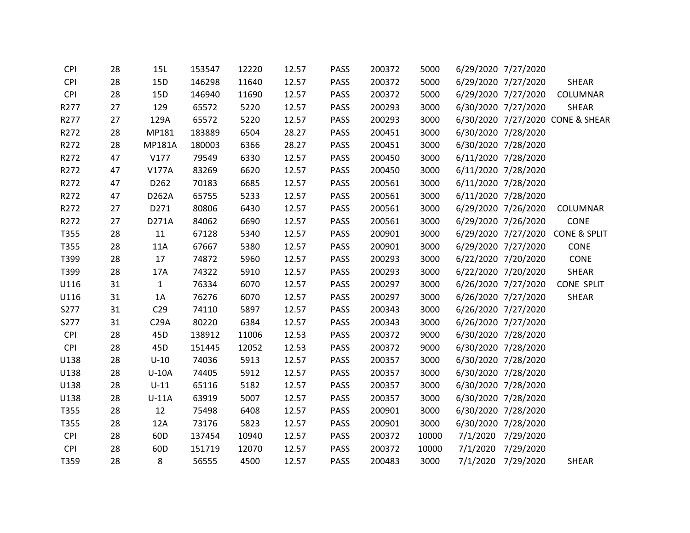| <b>CPI</b> | 28 | 15L             | 153547 | 12220 | 12.57 | <b>PASS</b> | 200372 | 5000  | 6/29/2020 7/27/2020 |                                  |
|------------|----|-----------------|--------|-------|-------|-------------|--------|-------|---------------------|----------------------------------|
| <b>CPI</b> | 28 | 15D             | 146298 | 11640 | 12.57 | PASS        | 200372 | 5000  | 6/29/2020 7/27/2020 | <b>SHEAR</b>                     |
| <b>CPI</b> | 28 | 15D             | 146940 | 11690 | 12.57 | <b>PASS</b> | 200372 | 5000  | 6/29/2020 7/27/2020 | COLUMNAR                         |
| R277       | 27 | 129             | 65572  | 5220  | 12.57 | PASS        | 200293 | 3000  | 6/30/2020 7/27/2020 | <b>SHEAR</b>                     |
| R277       | 27 | 129A            | 65572  | 5220  | 12.57 | PASS        | 200293 | 3000  |                     | 6/30/2020 7/27/2020 CONE & SHEAR |
| R272       | 28 | MP181           | 183889 | 6504  | 28.27 | PASS        | 200451 | 3000  | 6/30/2020 7/28/2020 |                                  |
| R272       | 28 | <b>MP181A</b>   | 180003 | 6366  | 28.27 | PASS        | 200451 | 3000  | 6/30/2020 7/28/2020 |                                  |
| R272       | 47 | V177            | 79549  | 6330  | 12.57 | PASS        | 200450 | 3000  | 6/11/2020 7/28/2020 |                                  |
| R272       | 47 | <b>V177A</b>    | 83269  | 6620  | 12.57 | <b>PASS</b> | 200450 | 3000  | 6/11/2020 7/28/2020 |                                  |
| R272       | 47 | D262            | 70183  | 6685  | 12.57 | PASS        | 200561 | 3000  | 6/11/2020 7/28/2020 |                                  |
| R272       | 47 | D262A           | 65755  | 5233  | 12.57 | <b>PASS</b> | 200561 | 3000  | 6/11/2020 7/28/2020 |                                  |
| R272       | 27 | D271            | 80806  | 6430  | 12.57 | PASS        | 200561 | 3000  | 6/29/2020 7/26/2020 | <b>COLUMNAR</b>                  |
| R272       | 27 | D271A           | 84062  | 6690  | 12.57 | PASS        | 200561 | 3000  | 6/29/2020 7/26/2020 | CONE                             |
| T355       | 28 | 11              | 67128  | 5340  | 12.57 | PASS        | 200901 | 3000  |                     | 6/29/2020 7/27/2020 CONE & SPLIT |
| T355       | 28 | 11A             | 67667  | 5380  | 12.57 | PASS        | 200901 | 3000  | 6/29/2020 7/27/2020 | CONE                             |
| T399       | 28 | 17              | 74872  | 5960  | 12.57 | PASS        | 200293 | 3000  | 6/22/2020 7/20/2020 | CONE                             |
| T399       | 28 | 17A             | 74322  | 5910  | 12.57 | PASS        | 200293 | 3000  | 6/22/2020 7/20/2020 | SHEAR                            |
| U116       | 31 | $\mathbf{1}$    | 76334  | 6070  | 12.57 | PASS        | 200297 | 3000  | 6/26/2020 7/27/2020 | <b>CONE SPLIT</b>                |
| U116       | 31 | 1A              | 76276  | 6070  | 12.57 | PASS        | 200297 | 3000  | 6/26/2020 7/27/2020 | <b>SHEAR</b>                     |
| S277       | 31 | C <sub>29</sub> | 74110  | 5897  | 12.57 | <b>PASS</b> | 200343 | 3000  | 6/26/2020 7/27/2020 |                                  |
| S277       | 31 | C29A            | 80220  | 6384  | 12.57 | PASS        | 200343 | 3000  | 6/26/2020 7/27/2020 |                                  |
| <b>CPI</b> | 28 | 45D             | 138912 | 11006 | 12.53 | PASS        | 200372 | 9000  | 6/30/2020 7/28/2020 |                                  |
| <b>CPI</b> | 28 | 45D             | 151445 | 12052 | 12.53 | <b>PASS</b> | 200372 | 9000  | 6/30/2020 7/28/2020 |                                  |
| U138       | 28 | $U-10$          | 74036  | 5913  | 12.57 | PASS        | 200357 | 3000  | 6/30/2020 7/28/2020 |                                  |
| U138       | 28 | $U-10A$         | 74405  | 5912  | 12.57 | <b>PASS</b> | 200357 | 3000  | 6/30/2020 7/28/2020 |                                  |
| U138       | 28 | $U-11$          | 65116  | 5182  | 12.57 | <b>PASS</b> | 200357 | 3000  | 6/30/2020 7/28/2020 |                                  |
| U138       | 28 | $U-11A$         | 63919  | 5007  | 12.57 | PASS        | 200357 | 3000  | 6/30/2020 7/28/2020 |                                  |
| T355       | 28 | 12              | 75498  | 6408  | 12.57 | PASS        | 200901 | 3000  | 6/30/2020 7/28/2020 |                                  |
| T355       | 28 | 12A             | 73176  | 5823  | 12.57 | <b>PASS</b> | 200901 | 3000  | 6/30/2020 7/28/2020 |                                  |
| <b>CPI</b> | 28 | 60 <sub>D</sub> | 137454 | 10940 | 12.57 | PASS        | 200372 | 10000 | 7/1/2020 7/29/2020  |                                  |
| CPI        | 28 | 60 <sub>D</sub> | 151719 | 12070 | 12.57 | <b>PASS</b> | 200372 | 10000 | 7/1/2020 7/29/2020  |                                  |
| T359       | 28 | 8               | 56555  | 4500  | 12.57 | <b>PASS</b> | 200483 | 3000  | 7/1/2020 7/29/2020  | <b>SHEAR</b>                     |